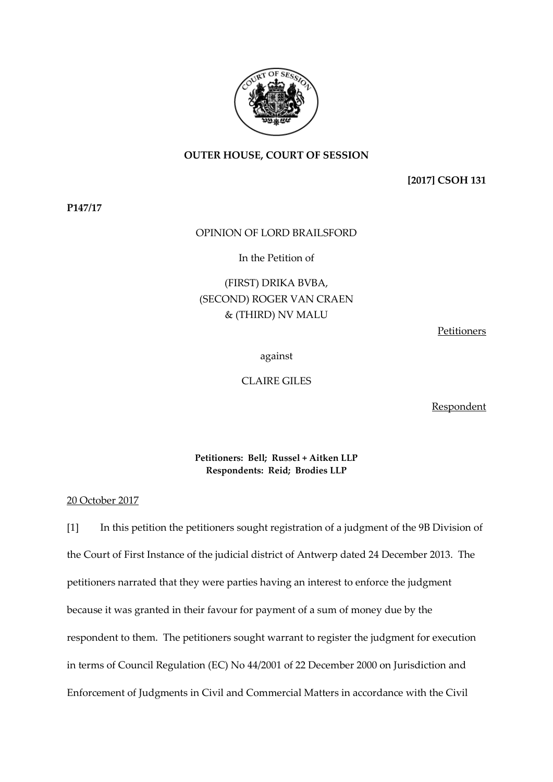

## **OUTER HOUSE, COURT OF SESSION**

**[2017] CSOH 131**

**P147/17**

## OPINION OF LORD BRAILSFORD

In the Petition of

## (FIRST) DRIKA BVBA, (SECOND) ROGER VAN CRAEN & (THIRD) NV MALU

Petitioners

against

CLAIRE GILES

Respondent

## **Petitioners: Bell; Russel + Aitken LLP Respondents: Reid; Brodies LLP**

20 October 2017

[1] In this petition the petitioners sought registration of a judgment of the 9B Division of the Court of First Instance of the judicial district of Antwerp dated 24 December 2013. The petitioners narrated that they were parties having an interest to enforce the judgment because it was granted in their favour for payment of a sum of money due by the respondent to them. The petitioners sought warrant to register the judgment for execution in terms of Council Regulation (EC) No 44/2001 of 22 December 2000 on Jurisdiction and Enforcement of Judgments in Civil and Commercial Matters in accordance with the Civil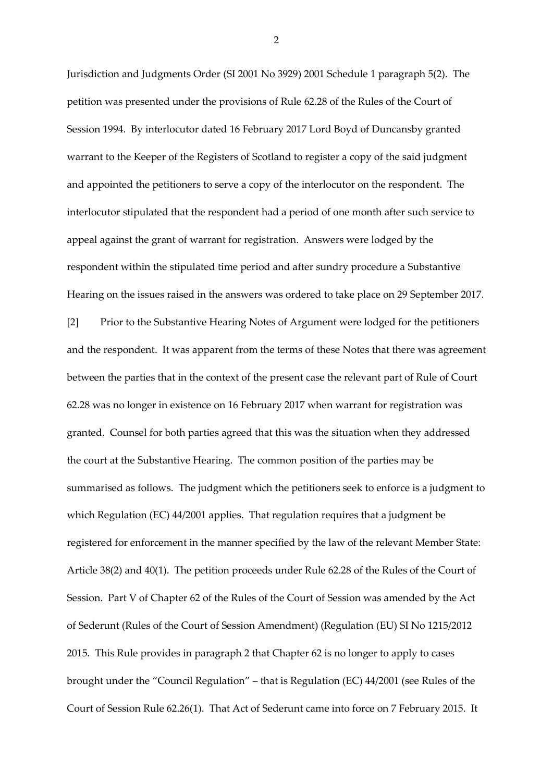Jurisdiction and Judgments Order (SI 2001 No 3929) 2001 Schedule 1 paragraph 5(2). The petition was presented under the provisions of Rule 62.28 of the Rules of the Court of Session 1994. By interlocutor dated 16 February 2017 Lord Boyd of Duncansby granted warrant to the Keeper of the Registers of Scotland to register a copy of the said judgment and appointed the petitioners to serve a copy of the interlocutor on the respondent. The interlocutor stipulated that the respondent had a period of one month after such service to appeal against the grant of warrant for registration. Answers were lodged by the respondent within the stipulated time period and after sundry procedure a Substantive Hearing on the issues raised in the answers was ordered to take place on 29 September 2017. [2] Prior to the Substantive Hearing Notes of Argument were lodged for the petitioners and the respondent. It was apparent from the terms of these Notes that there was agreement between the parties that in the context of the present case the relevant part of Rule of Court 62.28 was no longer in existence on 16 February 2017 when warrant for registration was granted. Counsel for both parties agreed that this was the situation when they addressed the court at the Substantive Hearing. The common position of the parties may be summarised as follows. The judgment which the petitioners seek to enforce is a judgment to which Regulation (EC) 44/2001 applies. That regulation requires that a judgment be registered for enforcement in the manner specified by the law of the relevant Member State: Article 38(2) and 40(1). The petition proceeds under Rule 62.28 of the Rules of the Court of Session. Part V of Chapter 62 of the Rules of the Court of Session was amended by the Act of Sederunt (Rules of the Court of Session Amendment) (Regulation (EU) SI No 1215/2012 2015. This Rule provides in paragraph 2 that Chapter 62 is no longer to apply to cases brought under the "Council Regulation" – that is Regulation (EC) 44/2001 (see Rules of the Court of Session Rule 62.26(1). That Act of Sederunt came into force on 7 February 2015. It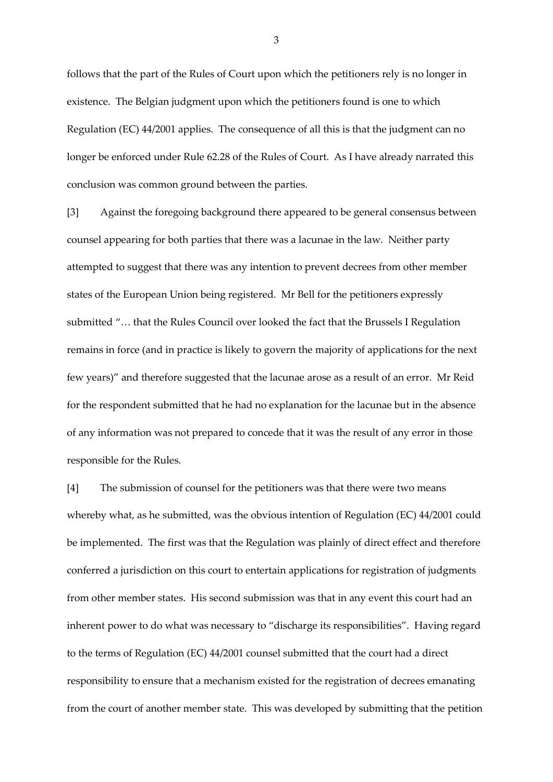follows that the part of the Rules of Court upon which the petitioners rely is no longer in existence. The Belgian judgment upon which the petitioners found is one to which Regulation (EC) 44/2001 applies. The consequence of all this is that the judgment can no longer be enforced under Rule 62.28 of the Rules of Court. As I have already narrated this conclusion was common ground between the parties.

[3] Against the foregoing background there appeared to be general consensus between counsel appearing for both parties that there was a lacunae in the law. Neither party attempted to suggest that there was any intention to prevent decrees from other member states of the European Union being registered. Mr Bell for the petitioners expressly submitted "… that the Rules Council over looked the fact that the Brussels I Regulation remains in force (and in practice is likely to govern the majority of applications for the next few years)" and therefore suggested that the lacunae arose as a result of an error. Mr Reid for the respondent submitted that he had no explanation for the lacunae but in the absence of any information was not prepared to concede that it was the result of any error in those responsible for the Rules.

[4] The submission of counsel for the petitioners was that there were two means whereby what, as he submitted, was the obvious intention of Regulation (EC) 44/2001 could be implemented. The first was that the Regulation was plainly of direct effect and therefore conferred a jurisdiction on this court to entertain applications for registration of judgments from other member states. His second submission was that in any event this court had an inherent power to do what was necessary to "discharge its responsibilities". Having regard to the terms of Regulation (EC) 44/2001 counsel submitted that the court had a direct responsibility to ensure that a mechanism existed for the registration of decrees emanating from the court of another member state. This was developed by submitting that the petition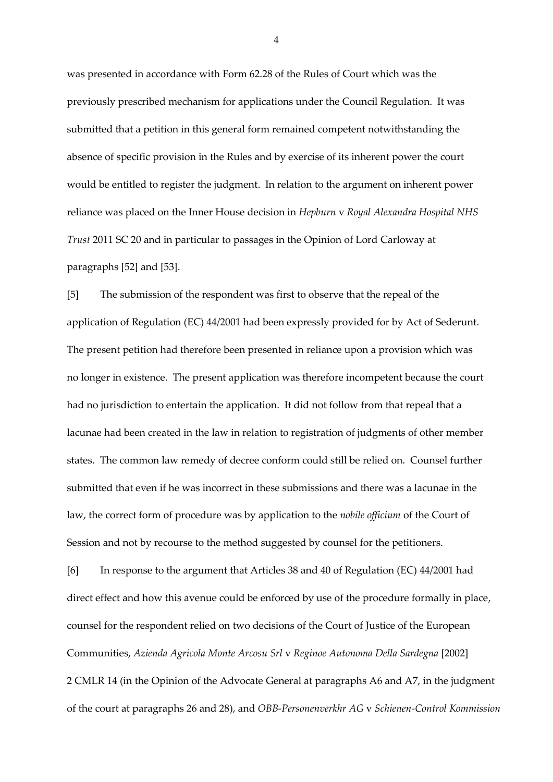was presented in accordance with Form 62.28 of the Rules of Court which was the previously prescribed mechanism for applications under the Council Regulation. It was submitted that a petition in this general form remained competent notwithstanding the absence of specific provision in the Rules and by exercise of its inherent power the court would be entitled to register the judgment. In relation to the argument on inherent power reliance was placed on the Inner House decision in *Hepburn* v *Royal Alexandra Hospital NHS Trust* 2011 SC 20 and in particular to passages in the Opinion of Lord Carloway at paragraphs [52] and [53].

[5] The submission of the respondent was first to observe that the repeal of the application of Regulation (EC) 44/2001 had been expressly provided for by Act of Sederunt. The present petition had therefore been presented in reliance upon a provision which was no longer in existence. The present application was therefore incompetent because the court had no jurisdiction to entertain the application. It did not follow from that repeal that a lacunae had been created in the law in relation to registration of judgments of other member states. The common law remedy of decree conform could still be relied on. Counsel further submitted that even if he was incorrect in these submissions and there was a lacunae in the law, the correct form of procedure was by application to the *nobile officium* of the Court of Session and not by recourse to the method suggested by counsel for the petitioners.

[6] In response to the argument that Articles 38 and 40 of Regulation (EC) 44/2001 had direct effect and how this avenue could be enforced by use of the procedure formally in place, counsel for the respondent relied on two decisions of the Court of Justice of the European Communities, *Azienda Agricola Monte Arcosu Srl* v *Reginoe Autonoma Della Sardegna* [2002] 2 CMLR 14 (in the Opinion of the Advocate General at paragraphs A6 and A7, in the judgment of the court at paragraphs 26 and 28), and *OBB-Personenverkhr AG* v *Schienen-Control Kommission*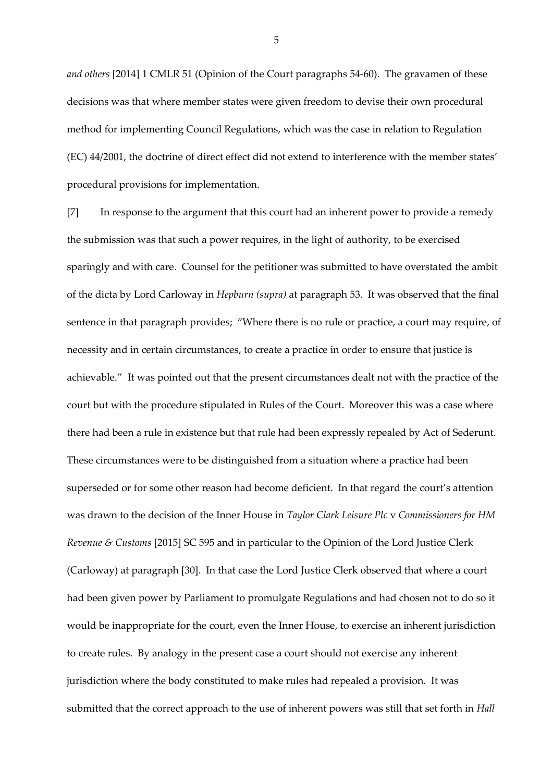*and others* [2014] 1 CMLR 51 (Opinion of the Court paragraphs 54-60). The gravamen of these decisions was that where member states were given freedom to devise their own procedural method for implementing Council Regulations, which was the case in relation to Regulation (EC) 44/2001, the doctrine of direct effect did not extend to interference with the member states' procedural provisions for implementation.

[7] In response to the argument that this court had an inherent power to provide a remedy the submission was that such a power requires, in the light of authority, to be exercised sparingly and with care. Counsel for the petitioner was submitted to have overstated the ambit of the dicta by Lord Carloway in *Hepburn (supra)* at paragraph 53. It was observed that the final sentence in that paragraph provides; "Where there is no rule or practice, a court may require, of necessity and in certain circumstances, to create a practice in order to ensure that justice is achievable." It was pointed out that the present circumstances dealt not with the practice of the court but with the procedure stipulated in Rules of the Court. Moreover this was a case where there had been a rule in existence but that rule had been expressly repealed by Act of Sederunt. These circumstances were to be distinguished from a situation where a practice had been superseded or for some other reason had become deficient. In that regard the court's attention was drawn to the decision of the Inner House in *Taylor Clark Leisure Plc* v *Commissioners for HM Revenue & Customs* [2015] SC 595 and in particular to the Opinion of the Lord Justice Clerk (Carloway) at paragraph [30]. In that case the Lord Justice Clerk observed that where a court had been given power by Parliament to promulgate Regulations and had chosen not to do so it would be inappropriate for the court, even the Inner House, to exercise an inherent jurisdiction to create rules. By analogy in the present case a court should not exercise any inherent jurisdiction where the body constituted to make rules had repealed a provision. It was submitted that the correct approach to the use of inherent powers was still that set forth in *Hall*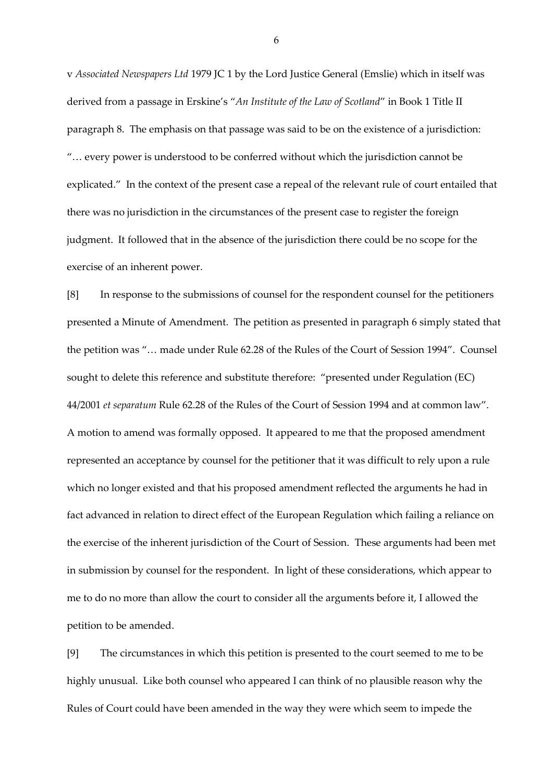v *Associated Newspapers Ltd* 1979 JC 1 by the Lord Justice General (Emslie) which in itself was derived from a passage in Erskine's "*An Institute of the Law of Scotland*" in Book 1 Title II paragraph 8. The emphasis on that passage was said to be on the existence of a jurisdiction: "… every power is understood to be conferred without which the jurisdiction cannot be explicated." In the context of the present case a repeal of the relevant rule of court entailed that there was no jurisdiction in the circumstances of the present case to register the foreign judgment. It followed that in the absence of the jurisdiction there could be no scope for the exercise of an inherent power.

[8] In response to the submissions of counsel for the respondent counsel for the petitioners presented a Minute of Amendment. The petition as presented in paragraph 6 simply stated that the petition was "… made under Rule 62.28 of the Rules of the Court of Session 1994". Counsel sought to delete this reference and substitute therefore: "presented under Regulation (EC) 44/2001 *et separatum* Rule 62.28 of the Rules of the Court of Session 1994 and at common law". A motion to amend was formally opposed. It appeared to me that the proposed amendment represented an acceptance by counsel for the petitioner that it was difficult to rely upon a rule which no longer existed and that his proposed amendment reflected the arguments he had in fact advanced in relation to direct effect of the European Regulation which failing a reliance on the exercise of the inherent jurisdiction of the Court of Session. These arguments had been met in submission by counsel for the respondent. In light of these considerations, which appear to me to do no more than allow the court to consider all the arguments before it, I allowed the petition to be amended.

[9] The circumstances in which this petition is presented to the court seemed to me to be highly unusual. Like both counsel who appeared I can think of no plausible reason why the Rules of Court could have been amended in the way they were which seem to impede the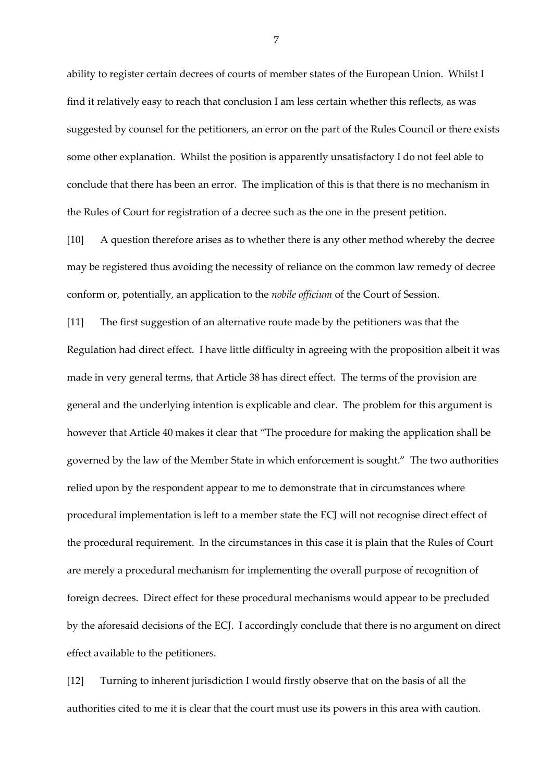ability to register certain decrees of courts of member states of the European Union. Whilst I find it relatively easy to reach that conclusion I am less certain whether this reflects, as was suggested by counsel for the petitioners, an error on the part of the Rules Council or there exists some other explanation. Whilst the position is apparently unsatisfactory I do not feel able to conclude that there has been an error. The implication of this is that there is no mechanism in the Rules of Court for registration of a decree such as the one in the present petition.

[10] A question therefore arises as to whether there is any other method whereby the decree may be registered thus avoiding the necessity of reliance on the common law remedy of decree conform or, potentially, an application to the *nobile officium* of the Court of Session.

[11] The first suggestion of an alternative route made by the petitioners was that the Regulation had direct effect. I have little difficulty in agreeing with the proposition albeit it was made in very general terms, that Article 38 has direct effect. The terms of the provision are general and the underlying intention is explicable and clear. The problem for this argument is however that Article 40 makes it clear that "The procedure for making the application shall be governed by the law of the Member State in which enforcement is sought." The two authorities relied upon by the respondent appear to me to demonstrate that in circumstances where procedural implementation is left to a member state the ECJ will not recognise direct effect of the procedural requirement. In the circumstances in this case it is plain that the Rules of Court are merely a procedural mechanism for implementing the overall purpose of recognition of foreign decrees. Direct effect for these procedural mechanisms would appear to be precluded by the aforesaid decisions of the ECJ. I accordingly conclude that there is no argument on direct effect available to the petitioners.

[12] Turning to inherent jurisdiction I would firstly observe that on the basis of all the authorities cited to me it is clear that the court must use its powers in this area with caution.